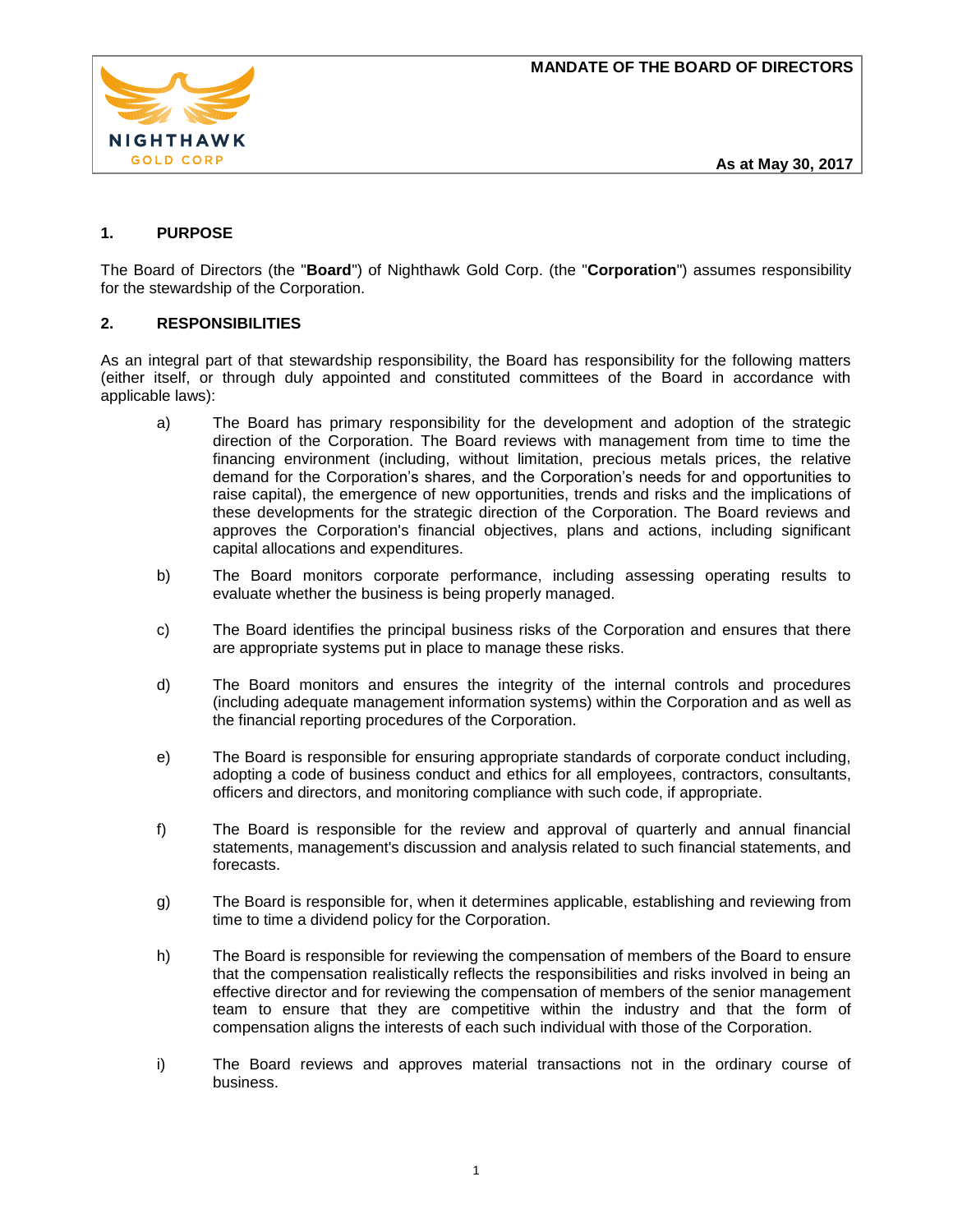

**As at May 30, 2017**

# **1. PURPOSE**

The Board of Directors (the "**Board**") of Nighthawk Gold Corp. (the "**Corporation**") assumes responsibility for the stewardship of the Corporation.

## **2. RESPONSIBILITIES**

As an integral part of that stewardship responsibility, the Board has responsibility for the following matters (either itself, or through duly appointed and constituted committees of the Board in accordance with applicable laws):

- a) The Board has primary responsibility for the development and adoption of the strategic direction of the Corporation. The Board reviews with management from time to time the financing environment (including, without limitation, precious metals prices, the relative demand for the Corporation's shares, and the Corporation's needs for and opportunities to raise capital), the emergence of new opportunities, trends and risks and the implications of these developments for the strategic direction of the Corporation. The Board reviews and approves the Corporation's financial objectives, plans and actions, including significant capital allocations and expenditures.
- b) The Board monitors corporate performance, including assessing operating results to evaluate whether the business is being properly managed.
- c) The Board identifies the principal business risks of the Corporation and ensures that there are appropriate systems put in place to manage these risks.
- d) The Board monitors and ensures the integrity of the internal controls and procedures (including adequate management information systems) within the Corporation and as well as the financial reporting procedures of the Corporation.
- e) The Board is responsible for ensuring appropriate standards of corporate conduct including, adopting a code of business conduct and ethics for all employees, contractors, consultants, officers and directors, and monitoring compliance with such code, if appropriate.
- f) The Board is responsible for the review and approval of quarterly and annual financial statements, management's discussion and analysis related to such financial statements, and forecasts.
- g) The Board is responsible for, when it determines applicable, establishing and reviewing from time to time a dividend policy for the Corporation.
- h) The Board is responsible for reviewing the compensation of members of the Board to ensure that the compensation realistically reflects the responsibilities and risks involved in being an effective director and for reviewing the compensation of members of the senior management team to ensure that they are competitive within the industry and that the form of compensation aligns the interests of each such individual with those of the Corporation.
- i) The Board reviews and approves material transactions not in the ordinary course of business.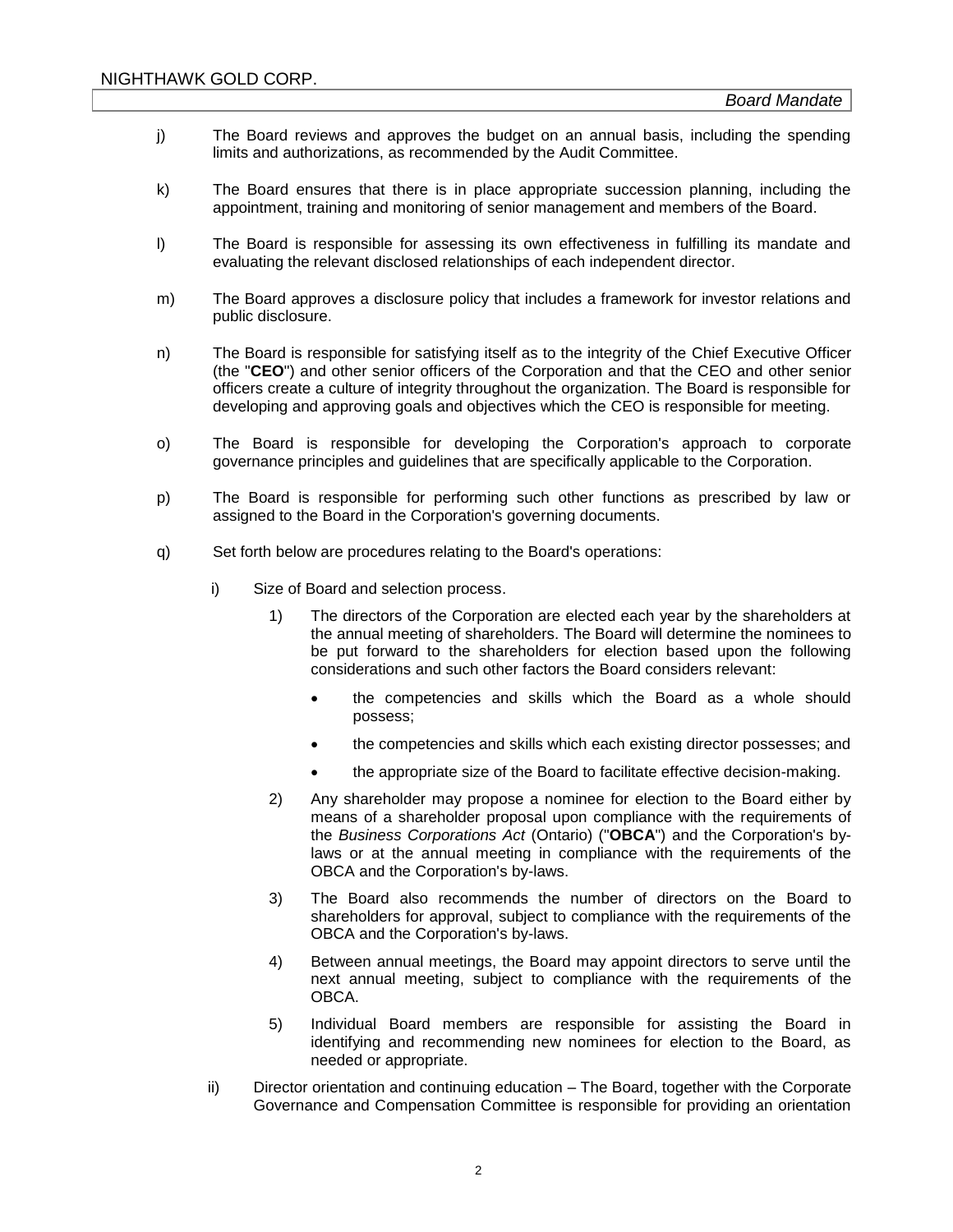- j) The Board reviews and approves the budget on an annual basis, including the spending limits and authorizations, as recommended by the Audit Committee.
- k) The Board ensures that there is in place appropriate succession planning, including the appointment, training and monitoring of senior management and members of the Board.
- l) The Board is responsible for assessing its own effectiveness in fulfilling its mandate and evaluating the relevant disclosed relationships of each independent director.
- m) The Board approves a disclosure policy that includes a framework for investor relations and public disclosure.
- n) The Board is responsible for satisfying itself as to the integrity of the Chief Executive Officer (the "**CEO**") and other senior officers of the Corporation and that the CEO and other senior officers create a culture of integrity throughout the organization. The Board is responsible for developing and approving goals and objectives which the CEO is responsible for meeting.
- o) The Board is responsible for developing the Corporation's approach to corporate governance principles and guidelines that are specifically applicable to the Corporation.
- p) The Board is responsible for performing such other functions as prescribed by law or assigned to the Board in the Corporation's governing documents.
- q) Set forth below are procedures relating to the Board's operations:
	- i) Size of Board and selection process.
		- 1) The directors of the Corporation are elected each year by the shareholders at the annual meeting of shareholders. The Board will determine the nominees to be put forward to the shareholders for election based upon the following considerations and such other factors the Board considers relevant:
			- the competencies and skills which the Board as a whole should possess;
			- the competencies and skills which each existing director possesses; and
			- the appropriate size of the Board to facilitate effective decision-making.
		- 2) Any shareholder may propose a nominee for election to the Board either by means of a shareholder proposal upon compliance with the requirements of the *Business Corporations Act* (Ontario) ("**OBCA**") and the Corporation's bylaws or at the annual meeting in compliance with the requirements of the OBCA and the Corporation's by-laws.
		- 3) The Board also recommends the number of directors on the Board to shareholders for approval, subject to compliance with the requirements of the OBCA and the Corporation's by-laws.
		- 4) Between annual meetings, the Board may appoint directors to serve until the next annual meeting, subject to compliance with the requirements of the OBCA.
		- 5) Individual Board members are responsible for assisting the Board in identifying and recommending new nominees for election to the Board, as needed or appropriate.
	- ii) Director orientation and continuing education The Board, together with the Corporate Governance and Compensation Committee is responsible for providing an orientation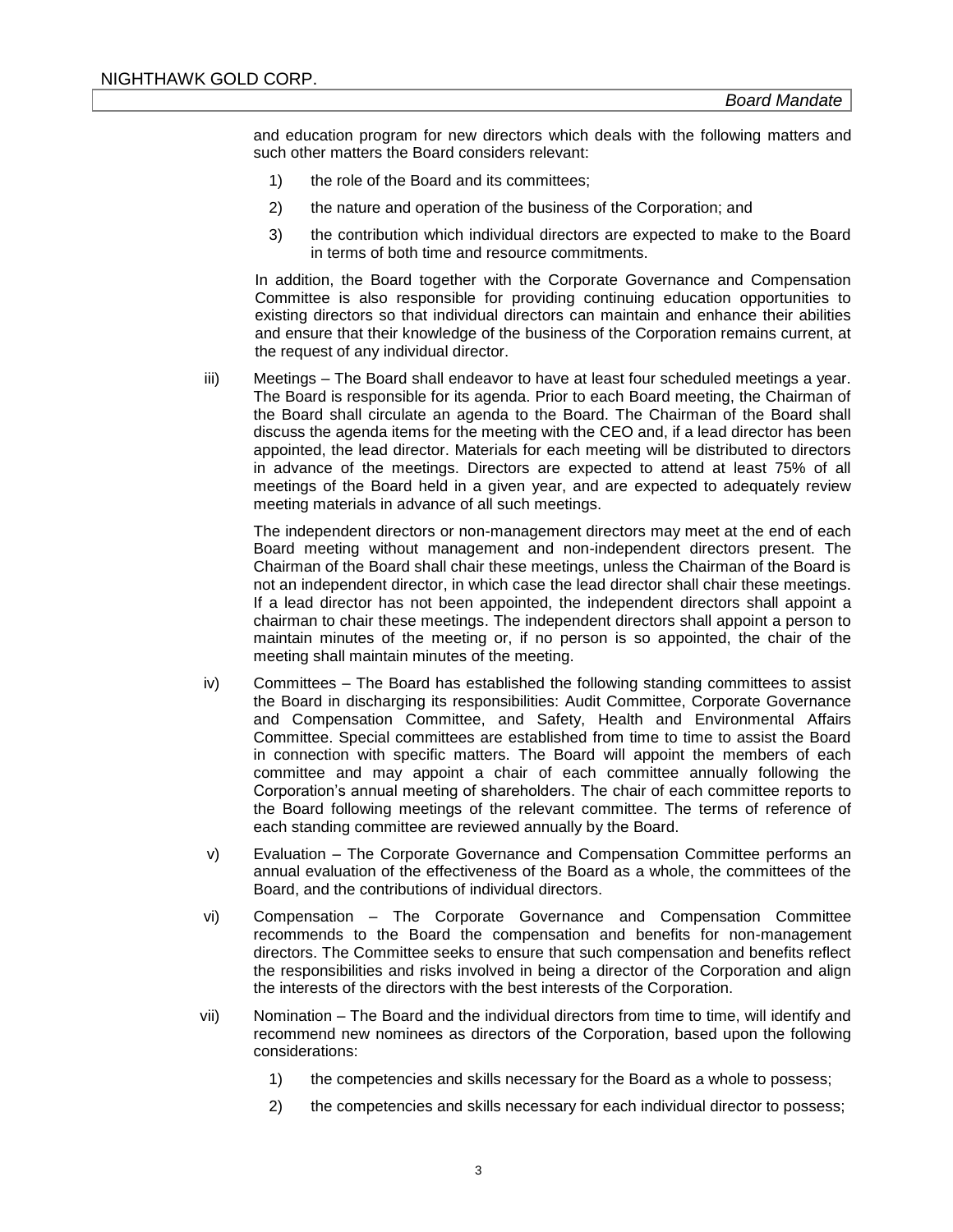and education program for new directors which deals with the following matters and such other matters the Board considers relevant:

- 1) the role of the Board and its committees;
- 2) the nature and operation of the business of the Corporation; and
- 3) the contribution which individual directors are expected to make to the Board in terms of both time and resource commitments.

In addition, the Board together with the Corporate Governance and Compensation Committee is also responsible for providing continuing education opportunities to existing directors so that individual directors can maintain and enhance their abilities and ensure that their knowledge of the business of the Corporation remains current, at the request of any individual director.

iii) Meetings – The Board shall endeavor to have at least four scheduled meetings a year. The Board is responsible for its agenda. Prior to each Board meeting, the Chairman of the Board shall circulate an agenda to the Board. The Chairman of the Board shall discuss the agenda items for the meeting with the CEO and, if a lead director has been appointed, the lead director. Materials for each meeting will be distributed to directors in advance of the meetings. Directors are expected to attend at least 75% of all meetings of the Board held in a given year, and are expected to adequately review meeting materials in advance of all such meetings.

The independent directors or non-management directors may meet at the end of each Board meeting without management and non-independent directors present. The Chairman of the Board shall chair these meetings, unless the Chairman of the Board is not an independent director, in which case the lead director shall chair these meetings. If a lead director has not been appointed, the independent directors shall appoint a chairman to chair these meetings. The independent directors shall appoint a person to maintain minutes of the meeting or, if no person is so appointed, the chair of the meeting shall maintain minutes of the meeting.

- iv) Committees The Board has established the following standing committees to assist the Board in discharging its responsibilities: Audit Committee, Corporate Governance and Compensation Committee, and Safety, Health and Environmental Affairs Committee. Special committees are established from time to time to assist the Board in connection with specific matters. The Board will appoint the members of each committee and may appoint a chair of each committee annually following the Corporation's annual meeting of shareholders. The chair of each committee reports to the Board following meetings of the relevant committee. The terms of reference of each standing committee are reviewed annually by the Board.
- v) Evaluation The Corporate Governance and Compensation Committee performs an annual evaluation of the effectiveness of the Board as a whole, the committees of the Board, and the contributions of individual directors.
- vi) Compensation The Corporate Governance and Compensation Committee recommends to the Board the compensation and benefits for non-management directors. The Committee seeks to ensure that such compensation and benefits reflect the responsibilities and risks involved in being a director of the Corporation and align the interests of the directors with the best interests of the Corporation.
- vii) Nomination The Board and the individual directors from time to time, will identify and recommend new nominees as directors of the Corporation, based upon the following considerations:
	- 1) the competencies and skills necessary for the Board as a whole to possess;
	- 2) the competencies and skills necessary for each individual director to possess;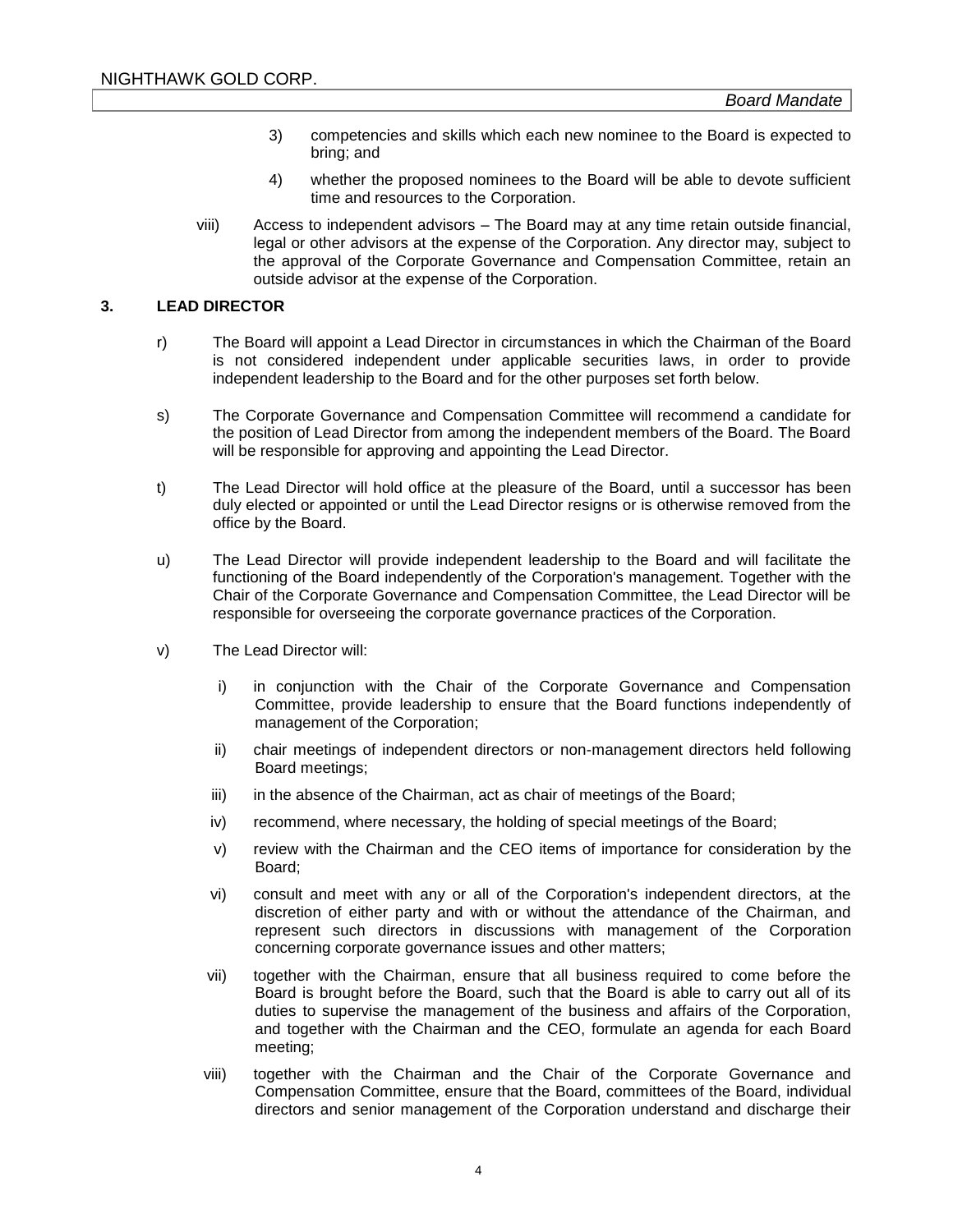- 3) competencies and skills which each new nominee to the Board is expected to bring; and
- 4) whether the proposed nominees to the Board will be able to devote sufficient time and resources to the Corporation.
- viii) Access to independent advisors The Board may at any time retain outside financial, legal or other advisors at the expense of the Corporation. Any director may, subject to the approval of the Corporate Governance and Compensation Committee, retain an outside advisor at the expense of the Corporation.

## **3. LEAD DIRECTOR**

- r) The Board will appoint a Lead Director in circumstances in which the Chairman of the Board is not considered independent under applicable securities laws, in order to provide independent leadership to the Board and for the other purposes set forth below.
- s) The Corporate Governance and Compensation Committee will recommend a candidate for the position of Lead Director from among the independent members of the Board. The Board will be responsible for approving and appointing the Lead Director.
- t) The Lead Director will hold office at the pleasure of the Board, until a successor has been duly elected or appointed or until the Lead Director resigns or is otherwise removed from the office by the Board.
- u) The Lead Director will provide independent leadership to the Board and will facilitate the functioning of the Board independently of the Corporation's management. Together with the Chair of the Corporate Governance and Compensation Committee, the Lead Director will be responsible for overseeing the corporate governance practices of the Corporation.
- v) The Lead Director will:
	- i) in conjunction with the Chair of the Corporate Governance and Compensation Committee, provide leadership to ensure that the Board functions independently of management of the Corporation;
	- ii) chair meetings of independent directors or non-management directors held following Board meetings;
	- iii) in the absence of the Chairman, act as chair of meetings of the Board;
	- iv) recommend, where necessary, the holding of special meetings of the Board;
	- v) review with the Chairman and the CEO items of importance for consideration by the Board;
	- vi) consult and meet with any or all of the Corporation's independent directors, at the discretion of either party and with or without the attendance of the Chairman, and represent such directors in discussions with management of the Corporation concerning corporate governance issues and other matters;
	- vii) together with the Chairman, ensure that all business required to come before the Board is brought before the Board, such that the Board is able to carry out all of its duties to supervise the management of the business and affairs of the Corporation, and together with the Chairman and the CEO, formulate an agenda for each Board meeting;
	- viii) together with the Chairman and the Chair of the Corporate Governance and Compensation Committee, ensure that the Board, committees of the Board, individual directors and senior management of the Corporation understand and discharge their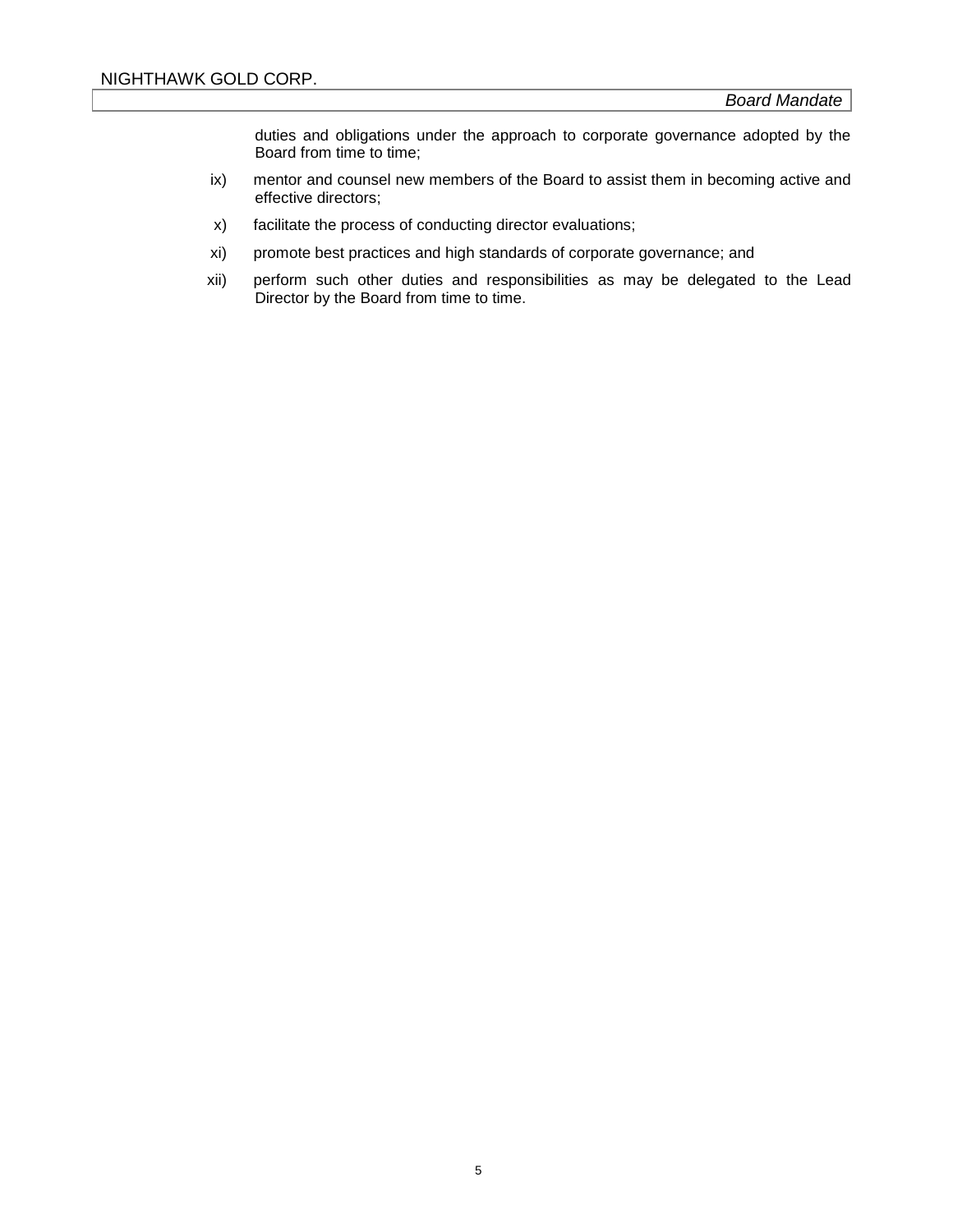duties and obligations under the approach to corporate governance adopted by the Board from time to time;

- ix) mentor and counsel new members of the Board to assist them in becoming active and effective directors;
- x) facilitate the process of conducting director evaluations;
- xi) promote best practices and high standards of corporate governance; and
- xii) perform such other duties and responsibilities as may be delegated to the Lead Director by the Board from time to time.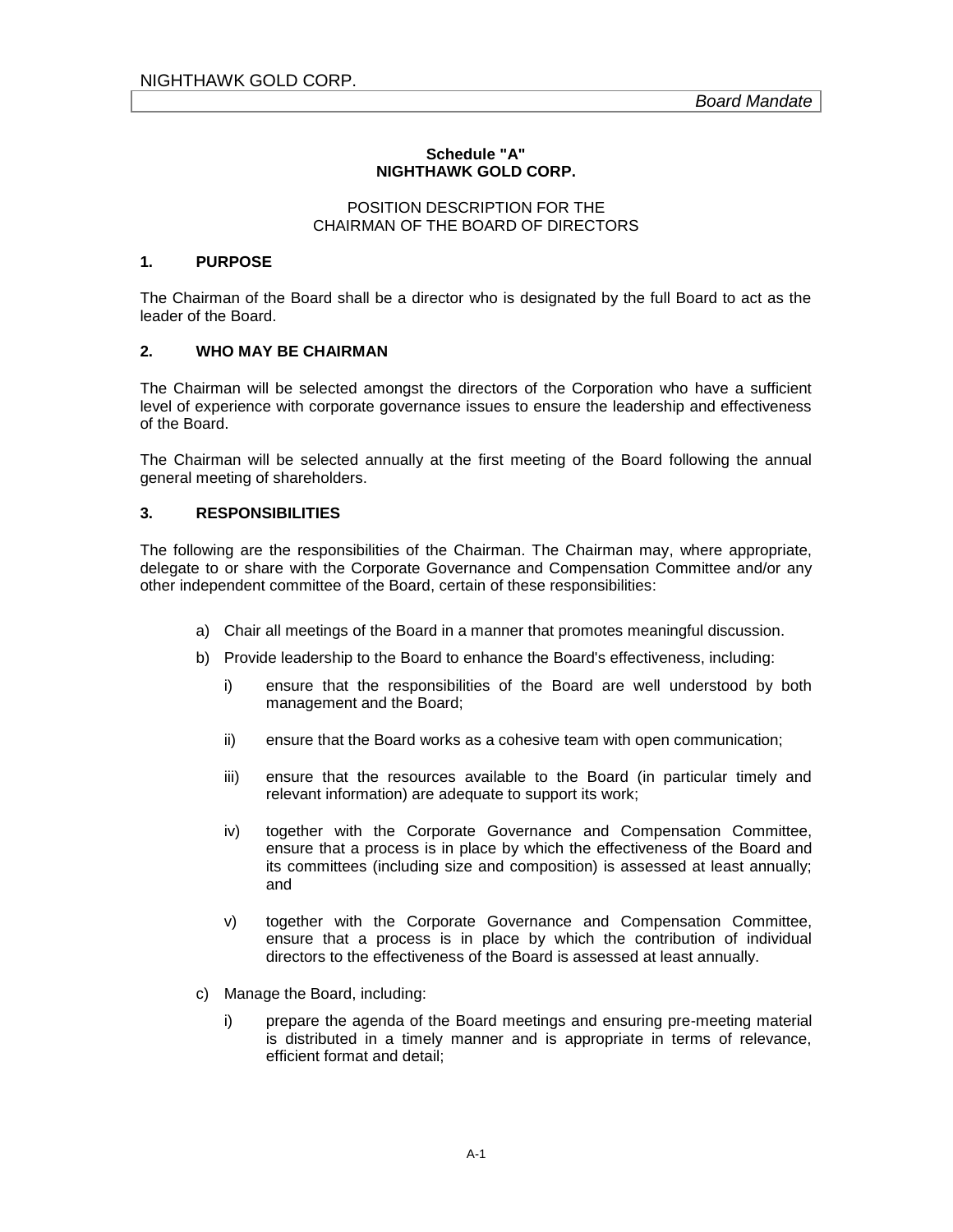## **Schedule "A" NIGHTHAWK GOLD CORP.**

#### POSITION DESCRIPTION FOR THE CHAIRMAN OF THE BOARD OF DIRECTORS

## **1. PURPOSE**

The Chairman of the Board shall be a director who is designated by the full Board to act as the leader of the Board.

## **2. WHO MAY BE CHAIRMAN**

The Chairman will be selected amongst the directors of the Corporation who have a sufficient level of experience with corporate governance issues to ensure the leadership and effectiveness of the Board.

The Chairman will be selected annually at the first meeting of the Board following the annual general meeting of shareholders.

#### **3. RESPONSIBILITIES**

The following are the responsibilities of the Chairman. The Chairman may, where appropriate, delegate to or share with the Corporate Governance and Compensation Committee and/or any other independent committee of the Board, certain of these responsibilities:

- a) Chair all meetings of the Board in a manner that promotes meaningful discussion.
- b) Provide leadership to the Board to enhance the Board's effectiveness, including:
	- i) ensure that the responsibilities of the Board are well understood by both management and the Board;
	- ii) ensure that the Board works as a cohesive team with open communication;
	- iii) ensure that the resources available to the Board (in particular timely and relevant information) are adequate to support its work;
	- iv) together with the Corporate Governance and Compensation Committee, ensure that a process is in place by which the effectiveness of the Board and its committees (including size and composition) is assessed at least annually; and
	- v) together with the Corporate Governance and Compensation Committee, ensure that a process is in place by which the contribution of individual directors to the effectiveness of the Board is assessed at least annually.
- c) Manage the Board, including:
	- i) prepare the agenda of the Board meetings and ensuring pre-meeting material is distributed in a timely manner and is appropriate in terms of relevance, efficient format and detail;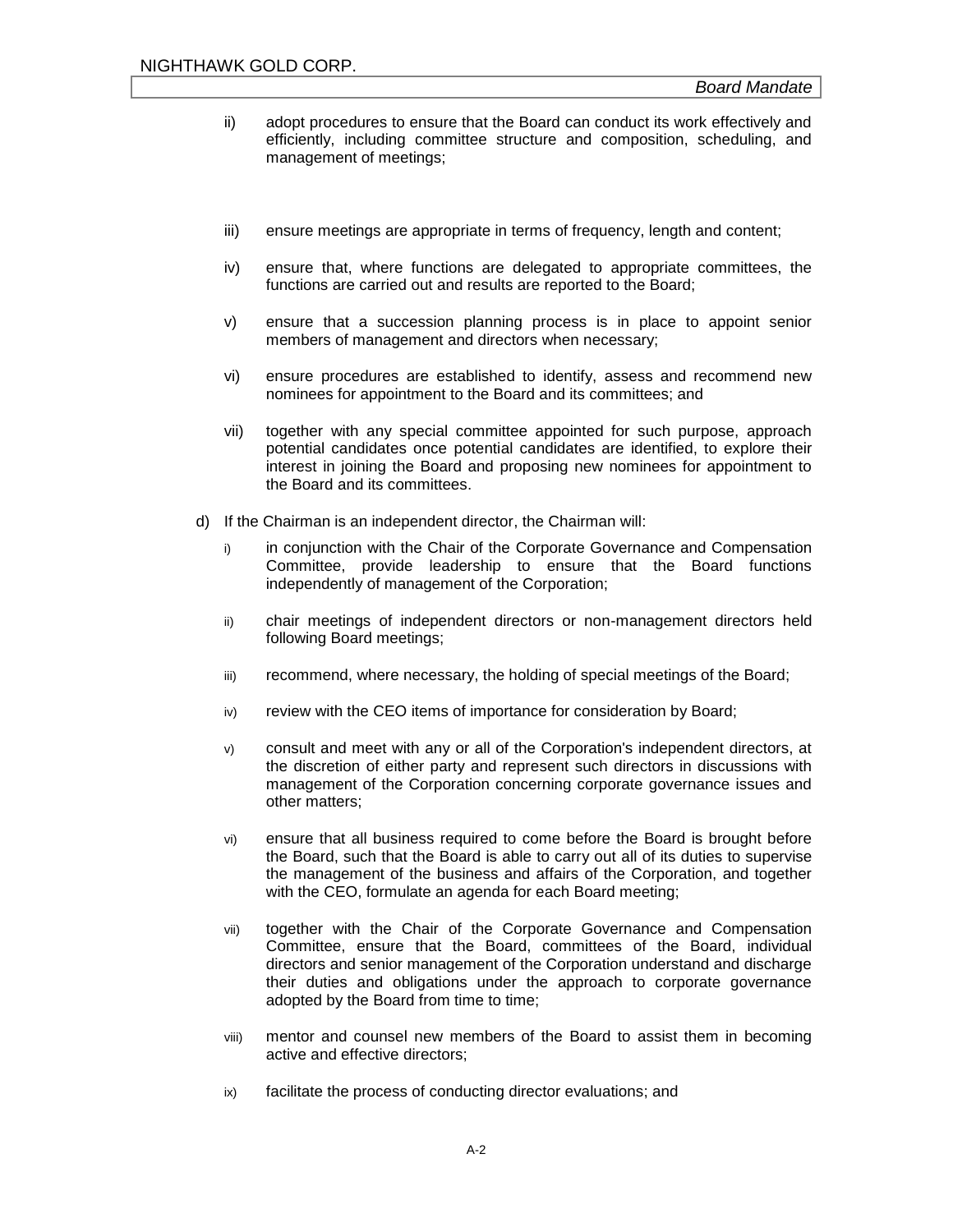- ii) adopt procedures to ensure that the Board can conduct its work effectively and efficiently, including committee structure and composition, scheduling, and management of meetings;
- iii) ensure meetings are appropriate in terms of frequency, length and content;
- iv) ensure that, where functions are delegated to appropriate committees, the functions are carried out and results are reported to the Board;
- v) ensure that a succession planning process is in place to appoint senior members of management and directors when necessary;
- vi) ensure procedures are established to identify, assess and recommend new nominees for appointment to the Board and its committees; and
- vii) together with any special committee appointed for such purpose, approach potential candidates once potential candidates are identified, to explore their interest in joining the Board and proposing new nominees for appointment to the Board and its committees.
- d) If the Chairman is an independent director, the Chairman will:
	- i) in conjunction with the Chair of the Corporate Governance and Compensation Committee, provide leadership to ensure that the Board functions independently of management of the Corporation;
	- ii) chair meetings of independent directors or non-management directors held following Board meetings;
	- iii) recommend, where necessary, the holding of special meetings of the Board;
	- iv) review with the CEO items of importance for consideration by Board;
	- v) consult and meet with any or all of the Corporation's independent directors, at the discretion of either party and represent such directors in discussions with management of the Corporation concerning corporate governance issues and other matters;
	- vi) ensure that all business required to come before the Board is brought before the Board, such that the Board is able to carry out all of its duties to supervise the management of the business and affairs of the Corporation, and together with the CEO, formulate an agenda for each Board meeting;
	- vii) together with the Chair of the Corporate Governance and Compensation Committee, ensure that the Board, committees of the Board, individual directors and senior management of the Corporation understand and discharge their duties and obligations under the approach to corporate governance adopted by the Board from time to time;
	- viii) mentor and counsel new members of the Board to assist them in becoming active and effective directors;
	- ix) facilitate the process of conducting director evaluations; and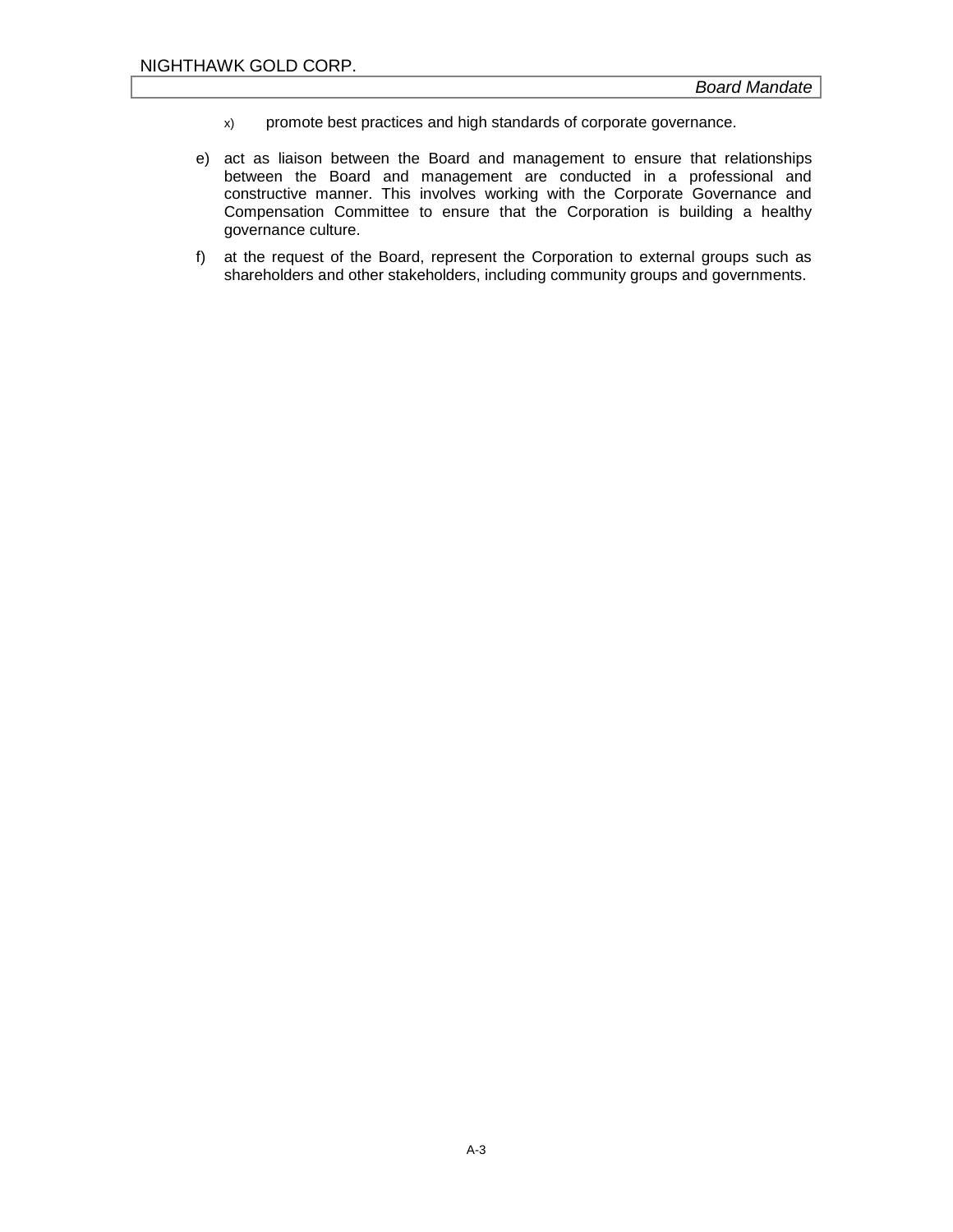- x) promote best practices and high standards of corporate governance.
- e) act as liaison between the Board and management to ensure that relationships between the Board and management are conducted in a professional and constructive manner. This involves working with the Corporate Governance and Compensation Committee to ensure that the Corporation is building a healthy governance culture.
- f) at the request of the Board, represent the Corporation to external groups such as shareholders and other stakeholders, including community groups and governments.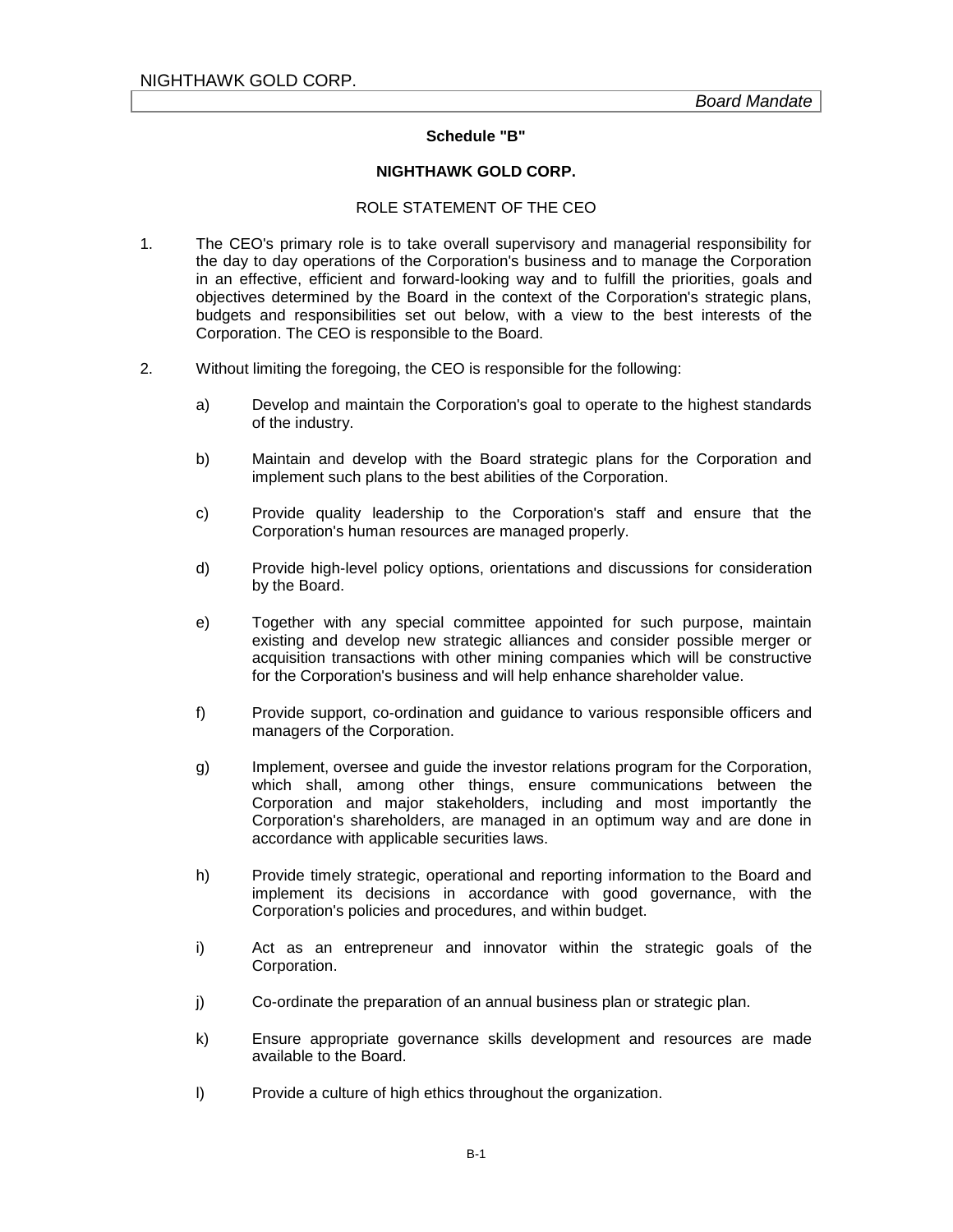#### **Schedule "B"**

## **NIGHTHAWK GOLD CORP.**

#### ROLE STATEMENT OF THE CEO

- 1. The CEO's primary role is to take overall supervisory and managerial responsibility for the day to day operations of the Corporation's business and to manage the Corporation in an effective, efficient and forward-looking way and to fulfill the priorities, goals and objectives determined by the Board in the context of the Corporation's strategic plans, budgets and responsibilities set out below, with a view to the best interests of the Corporation. The CEO is responsible to the Board.
- 2. Without limiting the foregoing, the CEO is responsible for the following:
	- a) Develop and maintain the Corporation's goal to operate to the highest standards of the industry.
	- b) Maintain and develop with the Board strategic plans for the Corporation and implement such plans to the best abilities of the Corporation.
	- c) Provide quality leadership to the Corporation's staff and ensure that the Corporation's human resources are managed properly.
	- d) Provide high-level policy options, orientations and discussions for consideration by the Board.
	- e) Together with any special committee appointed for such purpose, maintain existing and develop new strategic alliances and consider possible merger or acquisition transactions with other mining companies which will be constructive for the Corporation's business and will help enhance shareholder value.
	- f) Provide support, co-ordination and guidance to various responsible officers and managers of the Corporation.
	- g) Implement, oversee and guide the investor relations program for the Corporation, which shall, among other things, ensure communications between the Corporation and major stakeholders, including and most importantly the Corporation's shareholders, are managed in an optimum way and are done in accordance with applicable securities laws.
	- h) Provide timely strategic, operational and reporting information to the Board and implement its decisions in accordance with good governance, with the Corporation's policies and procedures, and within budget.
	- i) Act as an entrepreneur and innovator within the strategic goals of the Corporation.
	- j) Co-ordinate the preparation of an annual business plan or strategic plan.
	- k) Ensure appropriate governance skills development and resources are made available to the Board.
	- l) Provide a culture of high ethics throughout the organization.